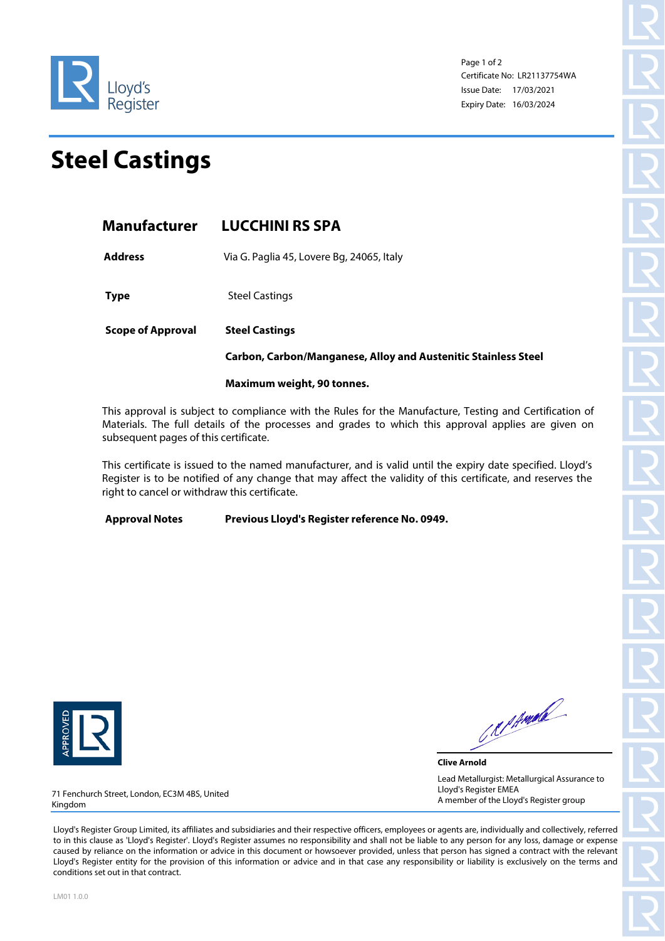

Page 1 of 2 Certificate No: LR21137754WA Issue Date: 17/03/2021 Expiry Date: 16/03/2024

## **Steel Castings**

**Address** Via G. Paglia 45, Lovere Bg, 24065, Italy

**Type** Steel Castings

**Scope of Approval Steel Castings** 

**Carbon, Carbon/Manganese, Alloy and Austenitic Stainless Steel** 

## **Maximum weight, 90 tonnes.**

This approval is subject to compliance with the Rules for the Manufacture, Testing and Certification of Materials. The full details of the processes and grades to which this approval applies are given on subsequent pages of this certificate.

This certificate is issued to the named manufacturer, and is valid until the expiry date specified. Lloyd's Register is to be notified of any change that may affect the validity of this certificate, and reserves the right to cancel or withdraw this certificate.

**Approval Notes Previous Lloyd's Register reference No. 0949.**



CRIPMAR

**Clive Arnold** Lead Metallurgist: Metallurgical Assurance to Lloyd's Register EMEA A member of the Lloyd's Register group

71 Fenchurch Street, London, EC3M 4BS, United Kingdom

Lloyd's Register Group Limited, its affiliates and subsidiaries and their respective officers, employees or agents are, individually and collectively, referred to in this clause as 'Lloyd's Register'. Lloyd's Register assumes no responsibility and shall not be liable to any person for any loss, damage or expense caused by reliance on the information or advice in this document or howsoever provided, unless that person has signed a contract with the relevant Lloyd's Register entity for the provision of this information or advice and in that case any responsibility or liability is exclusively on the terms and conditions set out in that contract.